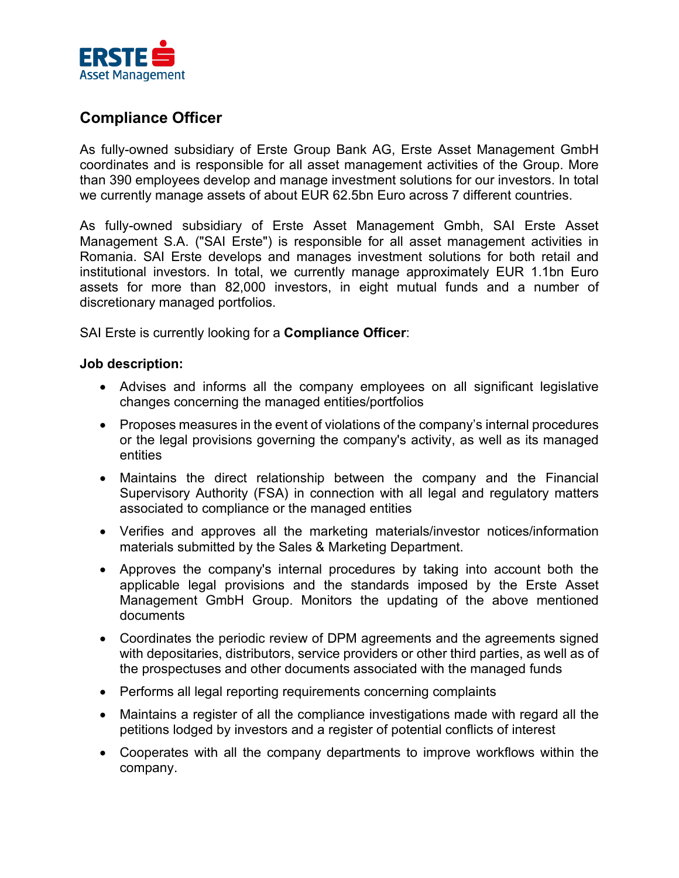

# **Compliance Officer**

As fully-owned subsidiary of Erste Group Bank AG, Erste Asset Management GmbH coordinates and is responsible for all asset management activities of the Group. More than 390 employees develop and manage investment solutions for our investors. In total we currently manage assets of about EUR 62.5bn Euro across 7 different countries.

As fully-owned subsidiary of Erste Asset Management Gmbh, SAI Erste Asset Management S.A. ("SAI Erste") is responsible for all asset management activities in Romania. SAI Erste develops and manages investment solutions for both retail and institutional investors. In total, we currently manage approximately EUR 1.1bn Euro assets for more than 82,000 investors, in eight mutual funds and a number of discretionary managed portfolios.

SAI Erste is currently looking for a **Compliance Officer**:

### **Job description:**

- Advises and informs all the company employees on all significant legislative changes concerning the managed entities/portfolios
- Proposes measures in the event of violations of the company's internal procedures or the legal provisions governing the company's activity, as well as its managed entities
- Maintains the direct relationship between the company and the Financial Supervisory Authority (FSA) in connection with all legal and regulatory matters associated to compliance or the managed entities
- Verifies and approves all the marketing materials/investor notices/information materials submitted by the Sales & Marketing Department.
- Approves the company's internal procedures by taking into account both the applicable legal provisions and the standards imposed by the Erste Asset Management GmbH Group. Monitors the updating of the above mentioned documents
- Coordinates the periodic review of DPM agreements and the agreements signed with depositaries, distributors, service providers or other third parties, as well as of the prospectuses and other documents associated with the managed funds
- Performs all legal reporting requirements concerning complaints
- Maintains a register of all the compliance investigations made with regard all the petitions lodged by investors and a register of potential conflicts of interest
- Cooperates with all the company departments to improve workflows within the company.